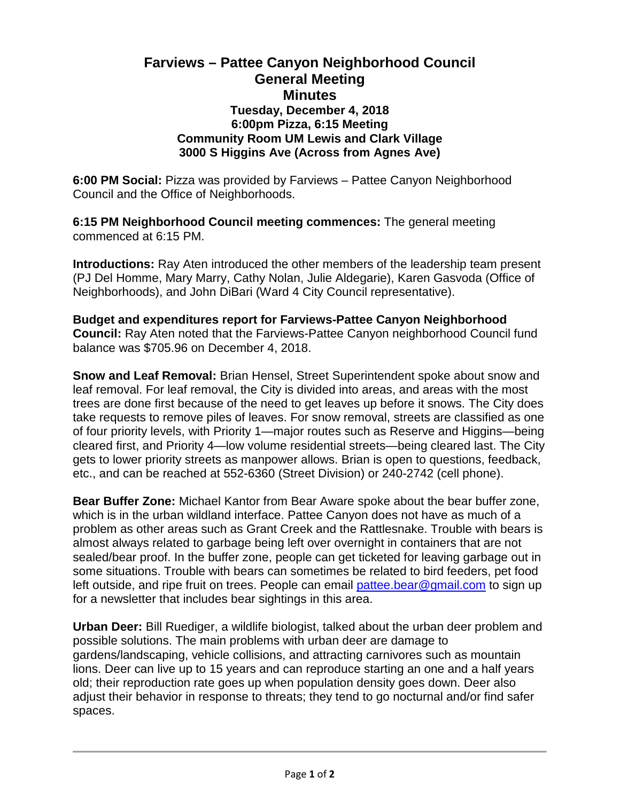## **Farviews – Pattee Canyon Neighborhood Council General Meeting Minutes Tuesday, December 4, 2018 6:00pm Pizza, 6:15 Meeting Community Room UM Lewis and Clark Village 3000 S Higgins Ave (Across from Agnes Ave)**

**6:00 PM Social:** Pizza was provided by Farviews – Pattee Canyon Neighborhood Council and the Office of Neighborhoods.

**6:15 PM Neighborhood Council meeting commences:** The general meeting commenced at 6:15 PM.

**Introductions:** Ray Aten introduced the other members of the leadership team present (PJ Del Homme, Mary Marry, Cathy Nolan, Julie Aldegarie), Karen Gasvoda (Office of Neighborhoods), and John DiBari (Ward 4 City Council representative).

**Budget and expenditures report for Farviews-Pattee Canyon Neighborhood Council:** Ray Aten noted that the Farviews-Pattee Canyon neighborhood Council fund balance was \$705.96 on December 4, 2018.

**Snow and Leaf Removal:** Brian Hensel, Street Superintendent spoke about snow and leaf removal. For leaf removal, the City is divided into areas, and areas with the most trees are done first because of the need to get leaves up before it snows. The City does take requests to remove piles of leaves. For snow removal, streets are classified as one of four priority levels, with Priority 1—major routes such as Reserve and Higgins—being cleared first, and Priority 4—low volume residential streets—being cleared last. The City gets to lower priority streets as manpower allows. Brian is open to questions, feedback, etc., and can be reached at 552-6360 (Street Division) or 240-2742 (cell phone).

**Bear Buffer Zone:** Michael Kantor from Bear Aware spoke about the bear buffer zone, which is in the urban wildland interface. Pattee Canyon does not have as much of a problem as other areas such as Grant Creek and the Rattlesnake. Trouble with bears is almost always related to garbage being left over overnight in containers that are not sealed/bear proof. In the buffer zone, people can get ticketed for leaving garbage out in some situations. Trouble with bears can sometimes be related to bird feeders, pet food left outside, and ripe fruit on trees. People can email [pattee.bear@gmail.com](mailto:pattee.bear@gmail.com) to sign up for a newsletter that includes bear sightings in this area.

**Urban Deer:** Bill Ruediger, a wildlife biologist, talked about the urban deer problem and possible solutions. The main problems with urban deer are damage to gardens/landscaping, vehicle collisions, and attracting carnivores such as mountain lions. Deer can live up to 15 years and can reproduce starting an one and a half years old; their reproduction rate goes up when population density goes down. Deer also adjust their behavior in response to threats; they tend to go nocturnal and/or find safer spaces.